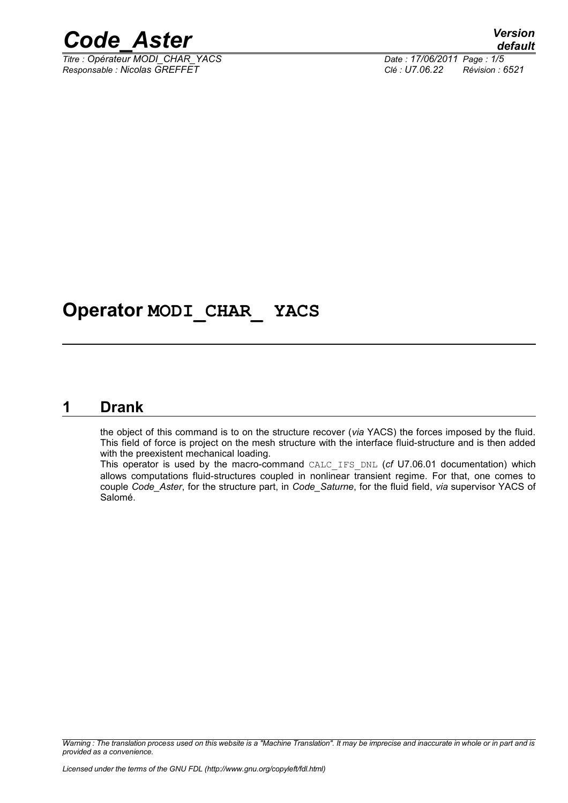

*Titre : Opérateur MODI\_CHAR\_YACS Date : 17/06/2011 Page : 1/5 Responsable : Nicolas GREFFET Clé : U7.06.22 Révision : 6521*

# **Operator MODI\_CHAR\_ YACS**

#### **1 Drank**

<span id="page-0-0"></span>the object of this command is to on the structure recover (*via* YACS) the forces imposed by the fluid. This field of force is project on the mesh structure with the interface fluid-structure and is then added with the preexistent mechanical loading.

This operator is used by the macro-command CALC\_IFS\_DNL (*cf* U7.06.01 documentation) which allows computations fluid-structures coupled in nonlinear transient regime. For that, one comes to couple *Code\_Aster*, for the structure part, in *Code\_Saturne*, for the fluid field, *via* supervisor YACS of Salomé.

*Warning : The translation process used on this website is a "Machine Translation". It may be imprecise and inaccurate in whole or in part and is provided as a convenience.*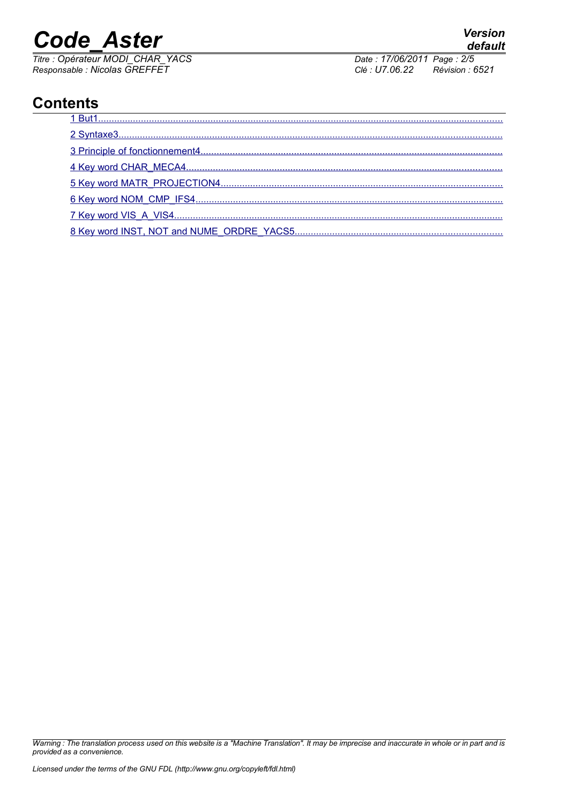*Titre : Opérateur MODI\_CHAR\_YACS Date : 17/06/2011 Page : 2/5 Responsable : Nicolas GREFFET Clé : U7.06.22 Révision : 6521*

# **Contents**

*Warning : The translation process used on this website is a "Machine Translation". It may be imprecise and inaccurate in whole or in part and is provided as a convenience.*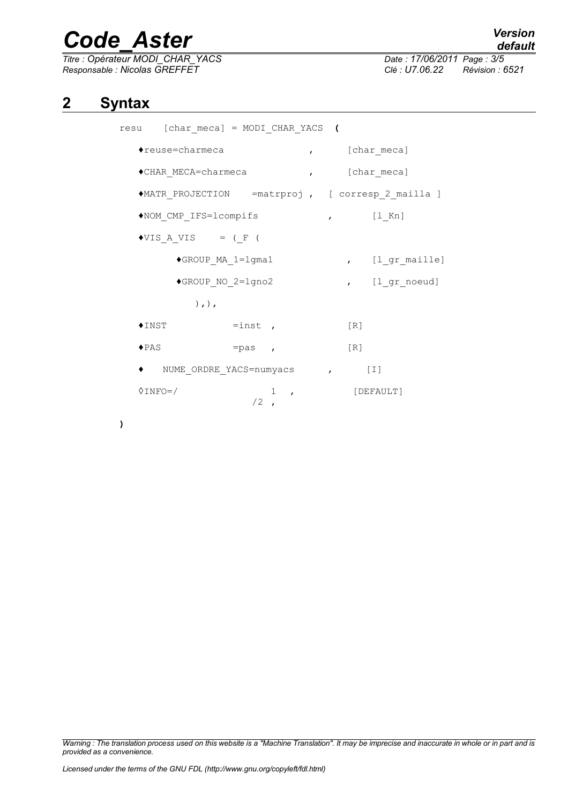*Titre : Opérateur MODI\_CHAR\_YACS Date : 17/06/2011 Page : 3/5 Responsable : Nicolas GREFFET Clé : U7.06.22 Révision : 6521*

## **2 Syntax**

<span id="page-2-0"></span>

| resu [char meca] = MODI CHAR YACS (                |                |                       |  |
|----------------------------------------------------|----------------|-----------------------|--|
| $\bullet$ reuse=charmeca                           |                | , [char_meca]         |  |
| ◆CHAR MECA=charmeca                                |                | , [char meca]         |  |
| ◆MATR PROJECTION = matrproj, [ corresp 2 mailla ]  |                |                       |  |
| NOM CMP IFS=lcompifs                               |                | $\sqrt{1 \text{ Kn}}$ |  |
| $\bullet \texttt{VIS A VIS} \qquad = \texttt{(F)}$ |                |                       |  |
| ◆GROUP MA 1=1gma1                                  |                | , [l gr maille]       |  |
| ◆GROUP NO 2=1gno2                                  |                | , [l gr noeud]        |  |
| $),$ , $)$ ,                                       |                |                       |  |
| $\blacklozenge$ INST                               | $=$ inst,      | $\lceil R \rceil$     |  |
| $\blacklozenge$ PAS                                | $=$ pas,       | $\lceil R \rceil$     |  |
| ◆ NUME ORDRE YACS=numyacs , [I]                    |                |                       |  |
| $\Diamond$ INFO=/                                  | 1, 1<br>$/2$ , | [DEFAULT]             |  |

**)**

*Warning : The translation process used on this website is a "Machine Translation". It may be imprecise and inaccurate in whole or in part and is provided as a convenience.*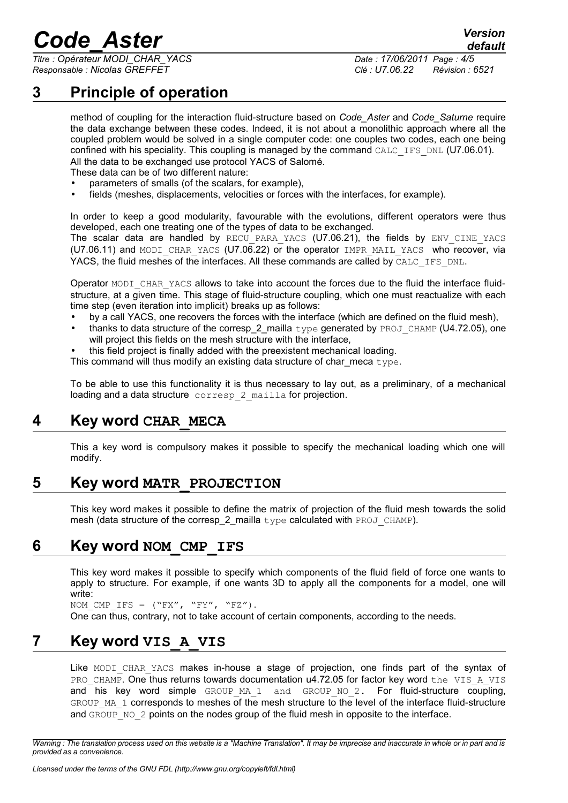*Titre : Opérateur MODI\_CHAR\_YACS Date : 17/06/2011 Page : 4/5 Responsable : Nicolas GREFFET Clé : U7.06.22 Révision : 6521*

*default*

# **3 Principle of operation**

<span id="page-3-4"></span>method of coupling for the interaction fluid-structure based on *Code\_Aster* and *Code\_Saturne* require the data exchange between these codes. Indeed, it is not about a monolithic approach where all the coupled problem would be solved in a single computer code: one couples two codes, each one being confined with his speciality. This coupling is managed by the command CALC IFS DNL (U7.06.01). All the data to be exchanged use protocol YACS of Salomé.

These data can be of two different nature:

- parameters of smalls (of the scalars, for example),
- fields (meshes, displacements, velocities or forces with the interfaces, for example).

In order to keep a good modularity, favourable with the evolutions, different operators were thus developed, each one treating one of the types of data to be exchanged.

The scalar data are handled by RECU PARA YACS (U7.06.21), the fields by ENV CINE YACS (U7.06.11) and MODI CHAR YACS (U7.06.22) or the operator IMPR MAIL YACS who recover, via YACS, the fluid meshes of the interfaces. All these commands are called by CALC\_IFS\_DNL.

Operator MODI CHAR YACS allows to take into account the forces due to the fluid the interface fluidstructure, at a given time. This stage of fluid-structure coupling, which one must reactualize with each time step (even iteration into implicit) breaks up as follows:

- by a call YACS, one recovers the forces with the interface (which are defined on the fluid mesh),
- thanks to data structure of the corresp\_2\_mailla  $type$  generated by PROJ\_CHAMP (U4.72.05), one will project this fields on the mesh structure with the interface,
- this field project is finally added with the preexistent mechanical loading.
- This command will thus modify an existing data structure of char meca type.

To be able to use this functionality it is thus necessary to lay out, as a preliminary, of a mechanical loading and a data structure corresp 2 mailla for projection.

## **4 Key word CHAR\_MECA**

<span id="page-3-3"></span>This a key word is compulsory makes it possible to specify the mechanical loading which one will modify.

#### **5 Key word MATR\_PROJECTION**

<span id="page-3-2"></span>This key word makes it possible to define the matrix of projection of the fluid mesh towards the solid mesh (data structure of the corresp\_2\_mailla type calculated with PROJ\_CHAMP).

#### **6 Key word NOM\_CMP\_IFS**

<span id="page-3-1"></span>This key word makes it possible to specify which components of the fluid field of force one wants to apply to structure. For example, if one wants 3D to apply all the components for a model, one will write:

NOM CMP IFS =  $("FX", "FY", "FZ").$ One can thus, contrary, not to take account of certain components, according to the needs.

## **7 Key word VIS\_A\_VIS**

<span id="page-3-0"></span>Like MODI CHAR YACS makes in-house a stage of projection, one finds part of the syntax of PRO\_CHAMP. One thus returns towards documentation u4.72.05 for factor key word the VIS\_A\_VIS and his key word simple GROUP MA 1 and GROUP NO 2. For fluid-structure coupling, GROUP\_MA\_1 corresponds to meshes of the mesh structure to the level of the interface fluid-structure and GROUP NO 2 points on the nodes group of the fluid mesh in opposite to the interface.

*Warning : The translation process used on this website is a "Machine Translation". It may be imprecise and inaccurate in whole or in part and is provided as a convenience.*